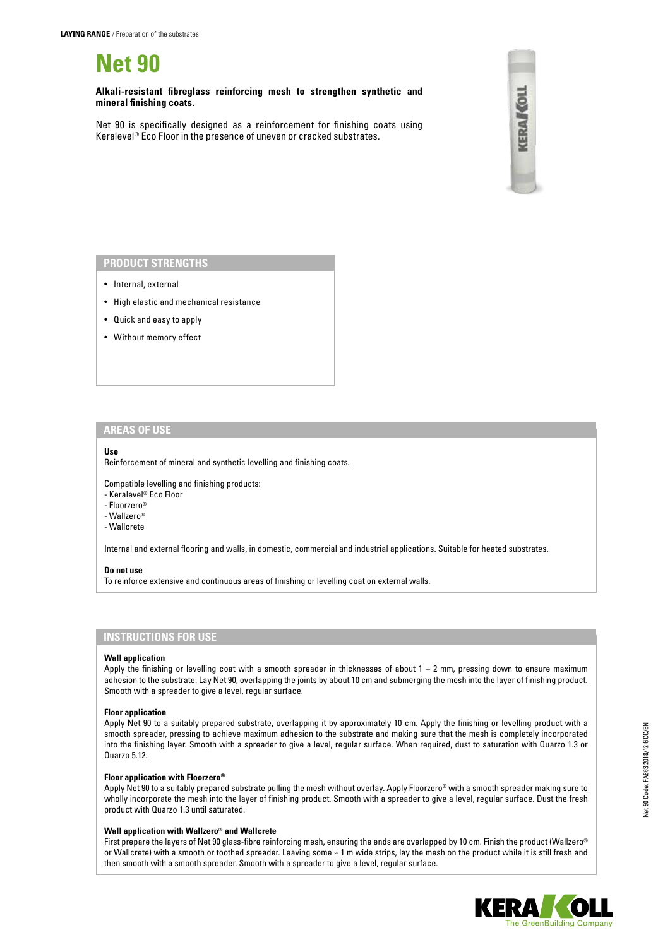**Net 90**

**Alkali-resistant fibreglass reinforcing mesh to strengthen synthetic and mineral finishing coats.**

Net 90 is specifically designed as a reinforcement for finishing coats using Keralevel® Eco Floor in the presence of uneven or cracked substrates.



### **PRODUCT STRENGTHS**

- Internal, external
- High elastic and mechanical resistance
- Quick and easy to apply
- Without memory effect

### **AREAS OF USE**

#### **Use**

Reinforcement of mineral and synthetic levelling and finishing coats.

Compatible levelling and finishing products:

- Keralevel® Eco Floor
- Floorzero®
- Wallzero®
- Wallcrete

Internal and external flooring and walls, in domestic, commercial and industrial applications. Suitable for heated substrates.

#### **Do not use**

To reinforce extensive and continuous areas of finishing or levelling coat on external walls.

## **INSTRUCTIONS FOR USE**

#### **Wall application**

Apply the finishing or levelling coat with a smooth spreader in thicknesses of about 1 – 2 mm, pressing down to ensure maximum adhesion to the substrate. Lay Net 90, overlapping the joints by about 10 cm and submerging the mesh into the layer of finishing product. Smooth with a spreader to give a level, regular surface.

#### **Floor application**

Apply Net 90 to a suitably prepared substrate, overlapping it by approximately 10 cm. Apply the finishing or levelling product with a smooth spreader, pressing to achieve maximum adhesion to the substrate and making sure that the mesh is completely incorporated into the finishing layer. Smooth with a spreader to give a level, regular surface. When required, dust to saturation with Quarzo 1.3 or Quarzo 5.12.

#### **Floor application with Floorzero®**

Apply Net 90 to a suitably prepared substrate pulling the mesh without overlay. Apply Floorzero® with a smooth spreader making sure to wholly incorporate the mesh into the layer of finishing product. Smooth with a spreader to give a level, regular surface. Dust the fresh product with Quarzo 1.3 until saturated.

### **Wall application with Wallzero® and Wallcrete**

First prepare the layers of Net 90 glass-fibre reinforcing mesh, ensuring the ends are overlapped by 10 cm. Finish the product (Wallzero® or Wallcrete) with a smooth or toothed spreader. Leaving some ≈ 1 m wide strips, lay the mesh on the product while it is still fresh and then smooth with a smooth spreader. Smooth with a spreader to give a level, regular surface.